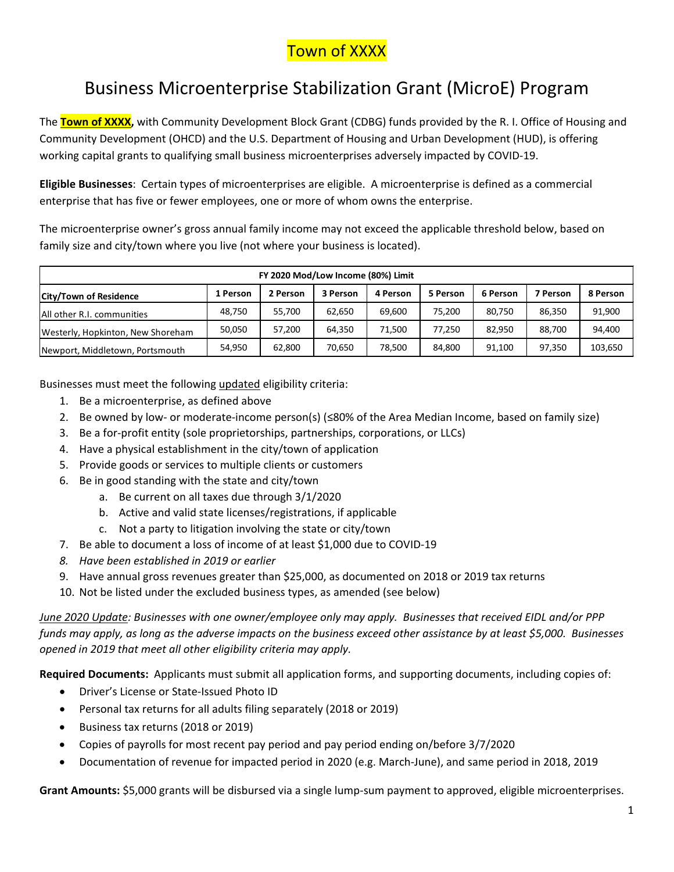### **Town of XXXX**

# Business Microenterprise Stabilization Grant (MicroE) Program

The **Town of XXXX,** with Community Development Block Grant (CDBG) funds provided by the R. I. Office of Housing and Community Development (OHCD) and the U.S. Department of Housing and Urban Development (HUD), is offering working capital grants to qualifying small business microenterprises adversely impacted by COVID-19.

**Eligible Businesses**: Certain types of microenterprises are eligible. A microenterprise is defined as a commercial enterprise that has five or fewer employees, one or more of whom owns the enterprise.

The microenterprise owner's gross annual family income may not exceed the applicable threshold below, based on family size and city/town where you live (not where your business is located).

| FY 2020 Mod/Low Income (80%) Limit |          |          |          |          |          |          |          |          |
|------------------------------------|----------|----------|----------|----------|----------|----------|----------|----------|
| <b>City/Town of Residence</b>      | 1 Person | 2 Person | 3 Person | 4 Person | 5 Person | 6 Person | 7 Person | 8 Person |
| All other R.I. communities         | 48.750   | 55,700   | 62,650   | 69.600   | 75.200   | 80.750   | 86.350   | 91,900   |
| Westerly, Hopkinton, New Shoreham  | 50,050   | 57,200   | 64,350   | 71.500   | 77.250   | 82.950   | 88,700   | 94,400   |
| Newport, Middletown, Portsmouth    | 54,950   | 62.800   | 70,650   | 78.500   | 84.800   | 91,100   | 97.350   | 103,650  |

Businesses must meet the following updated eligibility criteria:

- 1. Be a microenterprise, as defined above
- 2. Be owned by low- or moderate-income person(s) (≤80% of the Area Median Income, based on family size)
- 3. Be a for-profit entity (sole proprietorships, partnerships, corporations, or LLCs)
- 4. Have a physical establishment in the city/town of application
- 5. Provide goods or services to multiple clients or customers
- 6. Be in good standing with the state and city/town
	- a. Be current on all taxes due through 3/1/2020
	- b. Active and valid state licenses/registrations, if applicable
	- c. Not a party to litigation involving the state or city/town
- 7. Be able to document a loss of income of at least \$1,000 due to COVID-19
- *8. Have been established in 2019 or earlier*
- 9. Have annual gross revenues greater than \$25,000, as documented on 2018 or 2019 tax returns
- 10. Not be listed under the excluded business types, as amended (see below)

*June 2020 Update: Businesses with one owner/employee only may apply. Businesses that received EIDL and/or PPP funds may apply, as long as the adverse impacts on the business exceed other assistance by at least \$5,000. Businesses opened in 2019 that meet all other eligibility criteria may apply.*

**Required Documents:** Applicants must submit all application forms, and supporting documents, including copies of:

- Driver's License or State-Issued Photo ID
- Personal tax returns for all adults filing separately (2018 or 2019)
- Business tax returns (2018 or 2019)
- Copies of payrolls for most recent pay period and pay period ending on/before 3/7/2020
- Documentation of revenue for impacted period in 2020 (e.g. March-June), and same period in 2018, 2019

**Grant Amounts:** \$5,000 grants will be disbursed via a single lump-sum payment to approved, eligible microenterprises.